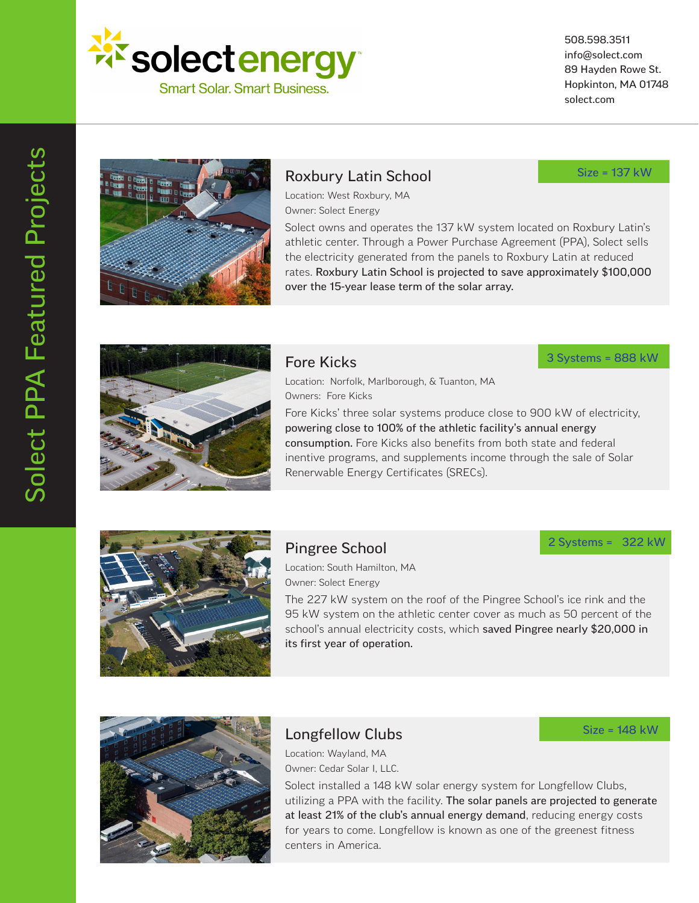

508.598.3511 info@solect.com 89 Hayden Rowe St. Hopkinton, MA 01748 solect.com



#### Roxbury Latin School

Size = 137 kW

Location: West Roxbury, MA Owner: Solect Energy

Solect owns and operates the 137 kW system located on Roxbury Latin's athletic center. Through a Power Purchase Agreement (PPA), Solect sells the electricity generated from the panels to Roxbury Latin at reduced rates. Roxbury Latin School is projected to save approximately \$100,000 over the 15-year lease term of the solar array.



#### Fore Kicks

Location: Norfolk, Marlborough, & Tuanton, MA Owners: Fore Kicks

Fore Kicks' three solar systems produce close to 900 kW of electricity, powering close to 100% of the athletic facility's annual energy consumption. Fore Kicks also benefits from both state and federal inentive programs, and supplements income through the sale of Solar Renerwable Energy Certificates (SRECs).



# Pingree School

#### 2 Systems = 322 kW

Size = 148 kW

3 Systems = 888 kW

Location: South Hamilton, MA Owner: Solect Energy

The 227 kW system on the roof of the Pingree School's ice rink and the 95 kW system on the athletic center cover as much as 50 percent of the school's annual electricity costs, which saved Pingree nearly \$20,000 in its first year of operation.



# Longfellow Clubs

Location: Wayland, MA Owner: Cedar Solar I, LLC.

Solect installed a 148 kW solar energy system for Longfellow Clubs, utilizing a PPA with the facility. The solar panels are projected to generate at least 21% of the club's annual energy demand, reducing energy costs for years to come. Longfellow is known as one of the greenest fitness centers in America.